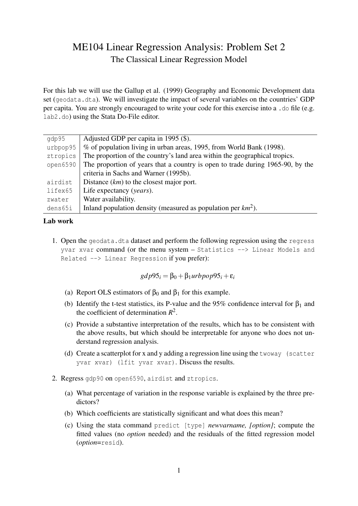## ME104 Linear Regression Analysis: Problem Set 2 The Classical Linear Regression Model

For this lab we will use the Gallup et al. (1999) Geography and Economic Development data set (geodata.dta). We will investigate the impact of several variables on the countries' GDP per capita. You are strongly encouraged to write your code for this exercise into a .do file (e.g. lab2.do) using the Stata Do-File editor.

| qdp95    | Adjusted GDP per capita in 1995 (\$).                                          |
|----------|--------------------------------------------------------------------------------|
| urbpop95 | % of population living in urban areas, 1995, from World Bank (1998).           |
| ztropics | The proportion of the country's land area within the geographical tropics.     |
| open6590 | The proportion of years that a country is open to trade during 1965-90, by the |
|          | criteria in Sachs and Warner (1995b).                                          |
| airdist  | Distance $(km)$ to the closest major port.                                     |
| lifex65  | Life expectancy (years).                                                       |
| zwater   | Water availability.                                                            |
| dens65i  | Inland population density (measured as population per $km^2$ ).                |

## Lab work

1. Open the geodata.dta dataset and perform the following regression using the regress yvar xvar command (or the menu system – Statistics --> Linear Models and Related --> Linear Regression if you prefer):

$$
gdp95_i = \beta_0 + \beta_1 urbpop95_i + \varepsilon_i
$$

- (a) Report OLS estimators of  $\beta_0$  and  $\beta_1$  for this example.
- (b) Identify the t-test statistics, its P-value and the 95% confidence interval for  $\beta_1$  and the coefficient of determination  $R^2$ .
- (c) Provide a substantive interpretation of the results, which has to be consistent with the above results, but which should be interpretable for anyone who does not understand regression analysis.
- (d) Create a scatterplot for x and y adding a regression line using the twoway (scatter yvar xvar) (lfit yvar xvar). Discuss the results.
- 2. Regress gdp90 on open6590, airdist and ztropics.
	- (a) What percentage of variation in the response variable is explained by the three predictors?
	- (b) Which coefficients are statistically significant and what does this mean?
	- (c) Using the stata command predict [type] *newvarname, [option]*; compute the fitted values (no *option* needed) and the residuals of the fitted regression model (*option*=resid).